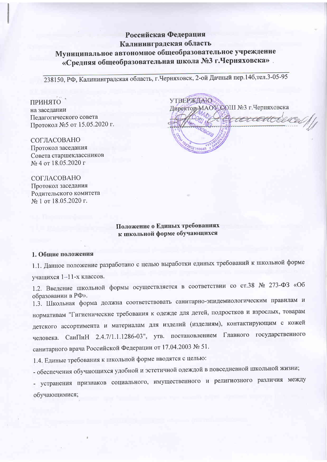## Российская Федерация Калининградская область

# Муниципальное автономное общеобразовательное учреждение «Средняя общеобразовательная школа №3 г. Черняховска».

238150, РФ, Калининградская область, г. Черняховск, 2-ой Дачный пер. 14б, тел. 3-05-95

#### ПРИНЯТО

на заседании Пелагогического совета Протокол №5 от 15.05.2020 г.

СОГЛАСОВАНО Протокол заседания Совета старшеклассников № 4 от 18.05.2020 г

СОГЛАСОВАНО Протокол заседания Ролительского комитета № 1 от 18.05.2020 г.

**УТВЕРЖДАЮ** Директор МАОУ СОШ №3 г.Черняховска acadoch 02150645

### Положение о Единых требованиях к школьной форме обучающихся

#### 1. Общие положения

1.1. Данное положение разработано с целью выработки единых требований к школьной форме учащихся 1-11-х классов.

1.2. Введение школьной формы осуществляется в соответствии со ст.38 № 273-ФЗ «Об образовании в РФ».

1.3. Школьная форма должна соответствовать санитарно-эпидемиологическим правилам и нормативам "Гигиенические требования к одежде для детей, подростков и взрослых, товарам детского ассортимента и материалам для изделий (изделиям), контактирующим с кожей СанПиН 2.4.7/1.1.1286-03", утв. постановлением Главного государственного человека. санитарного врача Российской Федерации от 17.04.2003 № 51.

1.4. Единые требования к школьной форме вводятся с целью:

- обеспечения обучающихся удобной и эстетичной одеждой в повседневной школьной жизни;

- устранения признаков социального, имущественного и религиозного различия между обучающимися;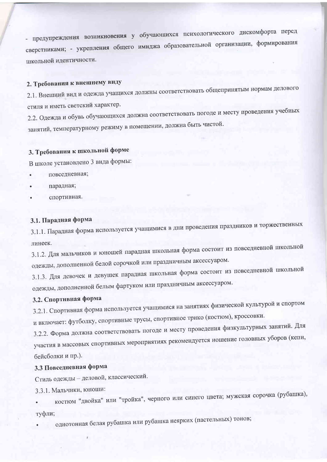- предупреждения возникновения у обучающихся психологического дискомфорта перед сверстниками; - укрепления общего имиджа образовательной организации, формирования школьной идентичности.

# 2. Требования к внешнему виду

2.1. Внешний вид и одежда учащихся должны соответствовать общепринятым нормам делового стиля и иметь светский характер.

2.2. Одежда и обувь обучающихся должна соответствовать погоде и месту проведения учебных занятий, температурному режиму в помещении, должна быть чистой.

# 3. Требования к школьной форме

В школе установлено 3 вида формы:

- повседневная;
- парадная;
- спортивная.

## 3.1. Парадная форма

3.1.1. Парадная форма используется учащимися в дни проведения праздников и торжественных линеек.

3.1.2. Для мальчиков и юношей парадная школьная форма состоит из повседневной школьной одежды, дополненной белой сорочкой или праздничным аксессуаром.

3.1.3. Для девочек и девушек парадная школьная форма состоит из повседневной школьной одежды, дополненной белым фартуком или праздничным аксессуаром.

### 3.2. Спортивная форма

3.2.1. Спортивная форма используется учащимися на занятиях физической культурой и спортом и включает: футболку, спортивные трусы, спортивное трико (костюм), кроссовки.

3.2.2. Форма должна соответствовать погоде и месту проведения физкультурных занятий. Для участия в массовых спортивных мероприятиях рекомендуется ношение головных уборов (кепи, бейсболки и пр.).

## 3.3 Повседневная форма

Стиль одежды - деловой, классический.

3.3.1. Мальчики, юноши:

костюм "двойка" или "тройка", черного или синего цвета; мужская сорочка (рубашка), туфли;

однотонная белая рубашка или рубашка неярких (пастельных) тонов;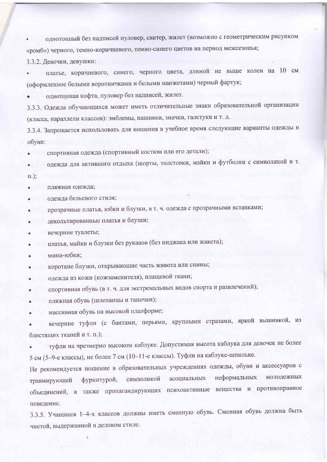однотонный без надписей пуловер, свитер, жилет (возможно с геометрическим рисунком «ромб») черного, темно-коричневого, темно-синего цветов на период межсезонья;

3.3.2. Девочки, девушки:

платье, коричневого, синего, черного цвета, длиной не выше колен на 10 см (оформленное белыми воротничками и белыми манжетами) черный фартук;

однотонная кофта, пуловер без надписей, жилет.

3.3.3. Одежда обучающихся может иметь отличительные знаки образовательной организации (класса, параллели классов): эмблемы, нашивки, значки, галстуки и т. д.

3.3.4. Запрещается использовать для ношения в учебное время следующие варианты одежды и обуви:

спортивная одежда (спортивный костюм или его детали);  $\bullet$ 

одежда для активного отдыха (шорты, толстовки, майки и футболки с символикой и т.

 $\Pi$ .);

- пляжная одежда;
- одежда бельевого стиля;
- прозрачные платья, юбки и блузки, в т. ч. одежда с прозрачными вставками;
- декольтированные платья и блузки;
- вечерние туалеты;
- платья, майки и блузки без рукавов (без пиджака или жакета);
- мини-юбки;
- короткие блузки, открывающие часть живота или спины;
- одежда из кожи (кожзаменителя), плащевой ткани;
- спортивная обувь (в т. ч. для экстремальных видов спорта и развлечений);
- пляжная обувь (шлепанцы и тапочки);
- массивная обувь на высокой платформе;

вечерние туфли (с бантами, перьями, крупными стразами, яркой вышивкой, из блестящих тканей и т. п.);

туфли на чрезмерно высоком каблуке. Допустимая высота каблука для девочек не более 5 см (5-9-е классы), не более 7 см (10-11-е классы). Туфли на каблуке-шпильке.

Не рекомендуется ношение в образовательных учреждениях одежды, обуви и аксессуаров с фурнитурой, символикой асоциальных молодежных неформальных травмирующей объединений, а также пропагандирующих психоактивные вещества и противоправное поведение.

3.3.5. Учащиеся 1-4-х классов должны иметь сменную обувь. Сменная обувь должна быть чистой, выдержанной в деловом стиле.